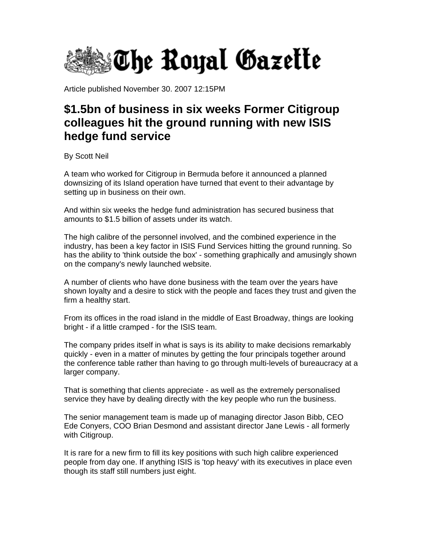

Article published November 30. 2007 12:15PM

## **\$1.5bn of business in six weeks Former Citigroup colleagues hit the ground running with new ISIS hedge fund service**

By Scott Neil

A team who worked for Citigroup in Bermuda before it announced a planned downsizing of its Island operation have turned that event to their advantage by setting up in business on their own.

And within six weeks the hedge fund administration has secured business that amounts to \$1.5 billion of assets under its watch.

The high calibre of the personnel involved, and the combined experience in the industry, has been a key factor in ISIS Fund Services hitting the ground running. So has the ability to 'think outside the box' - something graphically and amusingly shown on the company's newly launched website.

A number of clients who have done business with the team over the years have shown loyalty and a desire to stick with the people and faces they trust and given the firm a healthy start.

From its offices in the road island in the middle of East Broadway, things are looking bright - if a little cramped - for the ISIS team.

The company prides itself in what is says is its ability to make decisions remarkably quickly - even in a matter of minutes by getting the four principals together around the conference table rather than having to go through multi-levels of bureaucracy at a larger company.

That is something that clients appreciate - as well as the extremely personalised service they have by dealing directly with the key people who run the business.

The senior management team is made up of managing director Jason Bibb, CEO Ede Conyers, COO Brian Desmond and assistant director Jane Lewis - all formerly with Citigroup.

It is rare for a new firm to fill its key positions with such high calibre experienced people from day one. If anything ISIS is 'top heavy' with its executives in place even though its staff still numbers just eight.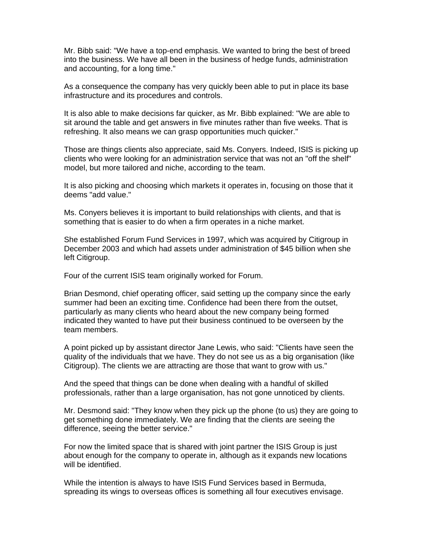Mr. Bibb said: "We have a top-end emphasis. We wanted to bring the best of breed into the business. We have all been in the business of hedge funds, administration and accounting, for a long time."

As a consequence the company has very quickly been able to put in place its base infrastructure and its procedures and controls.

It is also able to make decisions far quicker, as Mr. Bibb explained: "We are able to sit around the table and get answers in five minutes rather than five weeks. That is refreshing. It also means we can grasp opportunities much quicker."

Those are things clients also appreciate, said Ms. Conyers. Indeed, ISIS is picking up clients who were looking for an administration service that was not an "off the shelf" model, but more tailored and niche, according to the team.

It is also picking and choosing which markets it operates in, focusing on those that it deems "add value."

Ms. Conyers believes it is important to build relationships with clients, and that is something that is easier to do when a firm operates in a niche market.

She established Forum Fund Services in 1997, which was acquired by Citigroup in December 2003 and which had assets under administration of \$45 billion when she left Citigroup.

Four of the current ISIS team originally worked for Forum.

Brian Desmond, chief operating officer, said setting up the company since the early summer had been an exciting time. Confidence had been there from the outset, particularly as many clients who heard about the new company being formed indicated they wanted to have put their business continued to be overseen by the team members.

A point picked up by assistant director Jane Lewis, who said: "Clients have seen the quality of the individuals that we have. They do not see us as a big organisation (like Citigroup). The clients we are attracting are those that want to grow with us."

And the speed that things can be done when dealing with a handful of skilled professionals, rather than a large organisation, has not gone unnoticed by clients.

Mr. Desmond said: "They know when they pick up the phone (to us) they are going to get something done immediately. We are finding that the clients are seeing the difference, seeing the better service."

For now the limited space that is shared with joint partner the ISIS Group is just about enough for the company to operate in, although as it expands new locations will be identified.

While the intention is always to have ISIS Fund Services based in Bermuda, spreading its wings to overseas offices is something all four executives envisage.